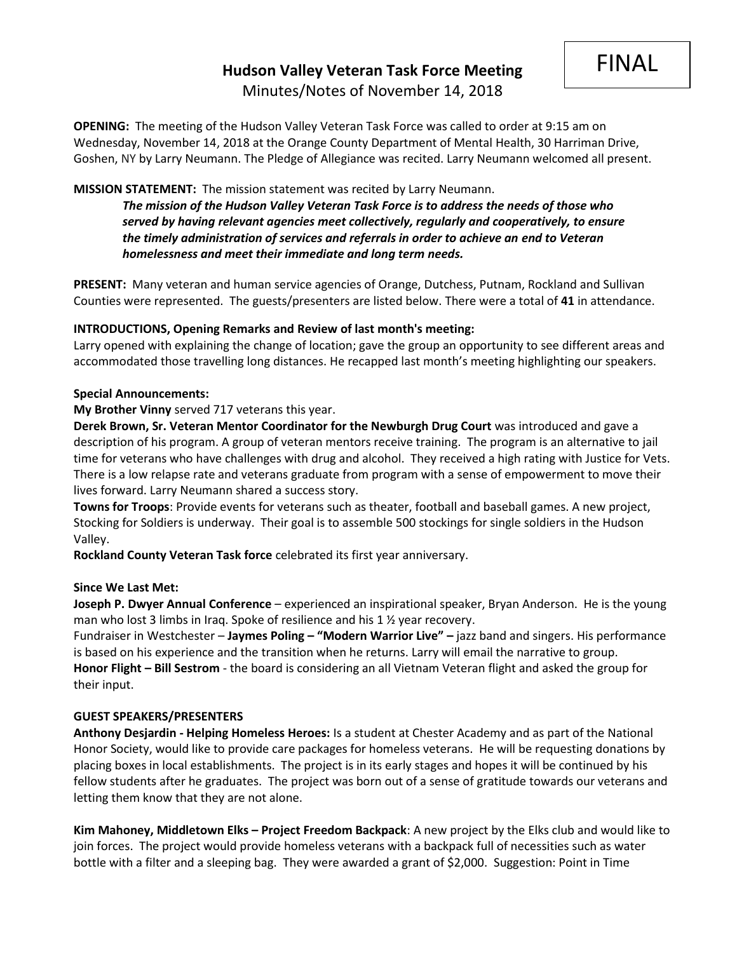FINAL

## **MISSION STATEMENT:** The mission statement was recited by Larry Neumann.

*The mission of the Hudson Valley Veteran Task Force is to address the needs of those who served by having relevant agencies meet collectively, regularly and cooperatively, to ensure the timely administration of services and referrals in order to achieve an end to Veteran homelessness and meet their immediate and long term needs.* 

**PRESENT:** Many veteran and human service agencies of Orange, Dutchess, Putnam, Rockland and Sullivan Counties were represented. The guests/presenters are listed below. There were a total of **41** in attendance.

### **INTRODUCTIONS, Opening Remarks and Review of last month's meeting:**

Larry opened with explaining the change of location; gave the group an opportunity to see different areas and accommodated those travelling long distances. He recapped last month's meeting highlighting our speakers.

### **Special Announcements:**

**My Brother Vinny** served 717 veterans this year.

**Derek Brown, Sr. Veteran Mentor Coordinator for the Newburgh Drug Court** was introduced and gave a description of his program. A group of veteran mentors receive training. The program is an alternative to jail time for veterans who have challenges with drug and alcohol. They received a high rating with Justice for Vets. There is a low relapse rate and veterans graduate from program with a sense of empowerment to move their lives forward. Larry Neumann shared a success story.

**Towns for Troops**: Provide events for veterans such as theater, football and baseball games. A new project, Stocking for Soldiers is underway. Their goal is to assemble 500 stockings for single soldiers in the Hudson Valley.

**Rockland County Veteran Task force** celebrated its first year anniversary.

### **Since We Last Met:**

**Joseph P. Dwyer Annual Conference** – experienced an inspirational speaker, Bryan Anderson. He is the young man who lost 3 limbs in Iraq. Spoke of resilience and his 1 ½ year recovery.

Fundraiser in Westchester – **Jaymes Poling – "Modern Warrior Live" –** jazz band and singers. His performance is based on his experience and the transition when he returns. Larry will email the narrative to group. **Honor Flight – Bill Sestrom** - the board is considering an all Vietnam Veteran flight and asked the group for their input.

### **GUEST SPEAKERS/PRESENTERS**

**Anthony Desjardin - Helping Homeless Heroes:** Is a student at Chester Academy and as part of the National Honor Society, would like to provide care packages for homeless veterans. He will be requesting donations by placing boxes in local establishments. The project is in its early stages and hopes it will be continued by his fellow students after he graduates. The project was born out of a sense of gratitude towards our veterans and letting them know that they are not alone.

**Kim Mahoney, Middletown Elks – Project Freedom Backpack**: A new project by the Elks club and would like to join forces. The project would provide homeless veterans with a backpack full of necessities such as water bottle with a filter and a sleeping bag. They were awarded a grant of \$2,000. Suggestion: Point in Time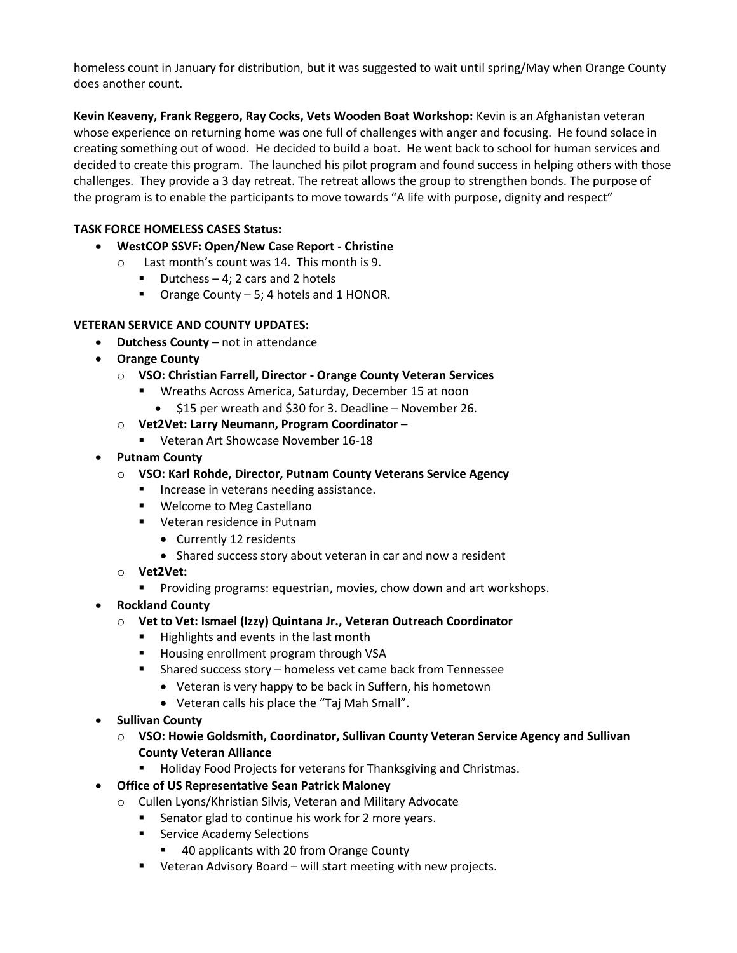homeless count in January for distribution, but it was suggested to wait until spring/May when Orange County does another count.

**Kevin Keaveny, Frank Reggero, Ray Cocks, Vets Wooden Boat Workshop:** Kevin is an Afghanistan veteran whose experience on returning home was one full of challenges with anger and focusing. He found solace in creating something out of wood. He decided to build a boat. He went back to school for human services and decided to create this program. The launched his pilot program and found success in helping others with those challenges. They provide a 3 day retreat. The retreat allows the group to strengthen bonds. The purpose of the program is to enable the participants to move towards "A life with purpose, dignity and respect"

## **TASK FORCE HOMELESS CASES Status:**

- **WestCOP SSVF: Open/New Case Report - Christine**
	- o Last month's count was 14. This month is 9.
		- $\blacksquare$  Dutchess 4; 2 cars and 2 hotels
		- Orange County 5; 4 hotels and 1 HONOR.

### **VETERAN SERVICE AND COUNTY UPDATES:**

- **Dutchess County –** not in attendance
- **Orange County**
	- o **VSO: Christian Farrell, Director - Orange County Veteran Services**
		- Wreaths Across America, Saturday, December 15 at noon
			- \$15 per wreath and \$30 for 3. Deadline November 26.
	- o **Vet2Vet: Larry Neumann, Program Coordinator –**
		- Veteran Art Showcase November 16-18
- **Putnam County**
	- o **VSO: Karl Rohde, Director, Putnam County Veterans Service Agency**
		- Increase in veterans needing assistance.
		- Welcome to Meg Castellano
		- Veteran residence in Putnam
			- Currently 12 residents
			- Shared success story about veteran in car and now a resident
	- o **Vet2Vet:**
		- Providing programs: equestrian, movies, chow down and art workshops.
- **Rockland County**
	- o **Vet to Vet: Ismael (Izzy) Quintana Jr., Veteran Outreach Coordinator**
		- Highlights and events in the last month
		- Housing enrollment program through VSA
		- Shared success story homeless vet came back from Tennessee
			- Veteran is very happy to be back in Suffern, his hometown
			- Veteran calls his place the "Taj Mah Small".
- **Sullivan County**
	- o **VSO: Howie Goldsmith, Coordinator, Sullivan County Veteran Service Agency and Sullivan County Veteran Alliance**
		- Holiday Food Projects for veterans for Thanksgiving and Christmas.

# • **Office of US Representative Sean Patrick Maloney**

- o Cullen Lyons/Khristian Silvis, Veteran and Military Advocate
	- Senator glad to continue his work for 2 more years.
	- Service Academy Selections
		- 40 applicants with 20 from Orange County
	- Veteran Advisory Board will start meeting with new projects.